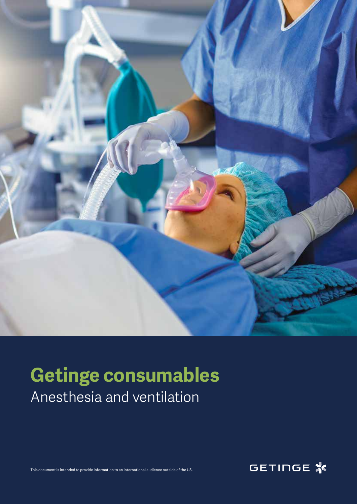

## **Getinge consumables** Anesthesia and ventilation

This document is intended to provide information to an international audience outside of the US.

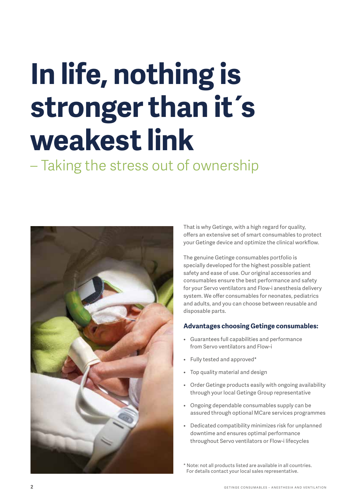# **In life, nothing is stronger than it´s weakest link**

– Taking the stress out of ownership



That is why Getinge, with a high regard for quality, offers an extensive set of smart consumables to protect your Getinge device and optimize the clinical workflow.

The genuine Getinge consumables portfolio is specially developed for the highest possible patient safety and ease of use. Our original accessories and consumables ensure the best performance and safety for your Servo ventilators and Flow-i anesthesia delivery system. We offer consumables for neonates, pediatrics and adults, and you can choose between reusable and disposable parts.

#### **Advantages choosing Getinge consumables:**

- Guarantees full capabilities and performance from Servo ventilators and Flow-i
- Fully tested and approved\*
- Top quality material and design
- Order Getinge products easily with ongoing availability through your local Getinge Group representative
- Ongoing dependable consumables supply can be assured through optional MCare services programmes
- Dedicated compatibility minimizes risk for unplanned downtime and ensures optimal performance throughout Servo ventilators or Flow-i lifecycles

\* Note: not all products listed are available in all countries. For details contact your local sales representative.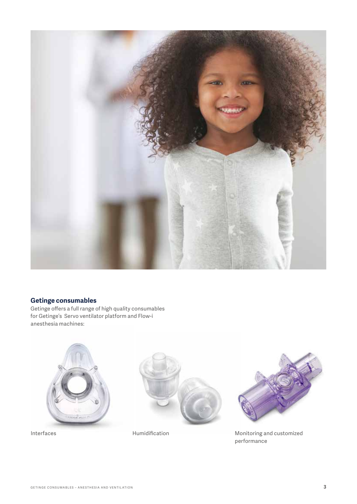

#### **Getinge consumables**

Getinge offers a full range of high quality consumables for Getinge's Servo ventilator platform and Flow-i anesthesia machines:







Interfaces **Interfaces** Humidification Monitoring and customized performance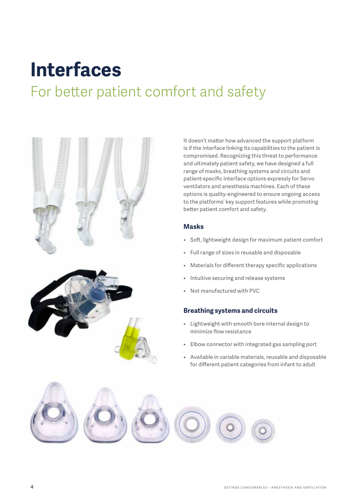## **Interfaces**

### For better patient comfort and safety



It doesn't matter how advanced the support platform is if the interface linking its capabilities to the patient is compromised. Recognizing this threat to performance and ultimately patient safety, we have designed a full range of masks, breathing systems and circuits and patient-specific interface options expressly for Servo ventilators and anesthesia machines. Each of these options is quality-engineered to ensure ongoing access to the platforms' key support features while promoting better patient comfort and safety.

#### **Masks**

- Soft, lightweight design for maximum patient comfort
- Full range of sizes in reusable and disposable
- Materials for different therapy specific applications
- Intuitive securing and release systems
- Not manufactured with PVC

#### **Breathing systems and circuits**

- Lightweight with smooth bore internal design to minimize flow resistance
- Elbow connector with integrated gas sampling port
- Available in variable materials, reusable and disposable for different patient categories from infant to adult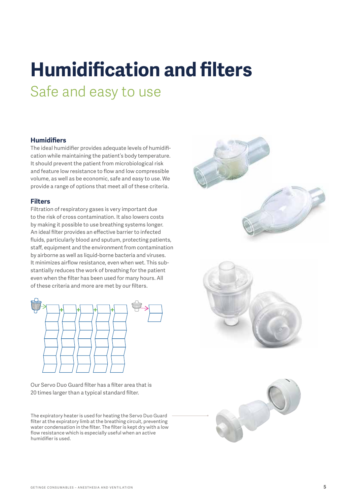# **Humidification and filters**

Safe and easy to use

#### **Humidifiers**

The ideal humidifier provides adequate levels of humidification while maintaining the patient's body temperature. It should prevent the patient from microbiological risk and feature low resistance to flow and low compressible volume, as well as be economic, safe and easy to use. We provide a range of options that meet all of these criteria.

#### **Filters**

Filtration of respiratory gases is very important due to the risk of cross contamination. It also lowers costs by making it possible to use breathing systems longer. An ideal filter provides an effective barrier to infected fluids, particularly blood and sputum, protecting patients, staff, equipment and the environment from contamination by airborne as well as liquid-borne bacteria and viruses. It minimizes airflow resistance, even when wet. This substantially reduces the work of breathing for the patient even when the filter has been used for many hours. All of these criteria and more are met by our filters.



Our Servo Duo Guard filter has a filter area that is 20 times larger than a typical standard filter.

The expiratory heater is used for heating the Servo Duo Guard filter at the expiratory limb at the breathing circuit, preventing water condensation in the filter. The filter is kept dry with a low flow resistance which is especially useful when an active humidifier is used.

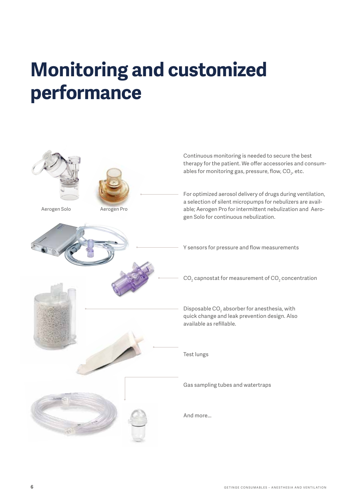## **Monitoring and customized performance**

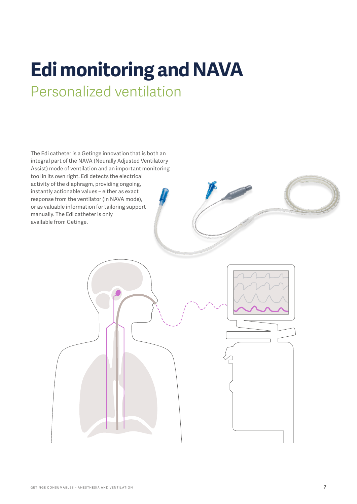## **Edi monitoring and NAVA** Personalized ventilation

The Edi catheter is a Getinge innovation that is both an integral part of the NAVA (Neurally Adjusted Ventilatory Assist) mode of ventilation and an important monitoring tool in its own right. Edi detects the electrical activity of the diaphragm, providing ongoing, instantly actionable values – either as exact response from the ventilator (in NAVA mode), or as valuable information for tailoring support manually. The Edi catheter is only available from Getinge.